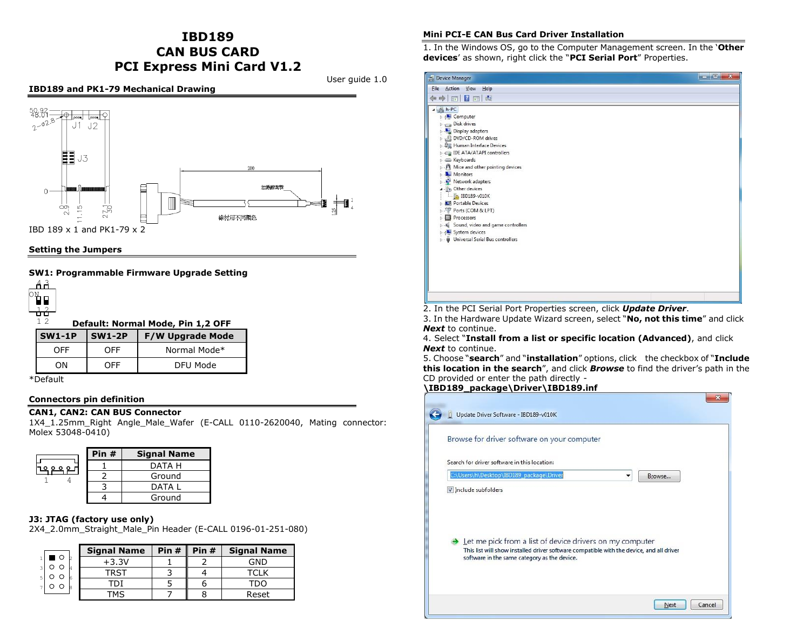# **IBD189 CAN BUS CARD PCI Express Mini Card V1.2**

User guide 1.0

## **IBD189 and PK1-79 Mechanical Drawing**



#### **Setting the Jumpers**

## **SW1: Programmable Firmware Upgrade Setting**



 **Default: Normal Mode, Pin 1,2 OFF**

| l SW1-1P | SW1-2P     | <b>F/W Upgrade Mode</b> |  |  |
|----------|------------|-------------------------|--|--|
| ∩FF      | <b>OFF</b> | Normal Mode*            |  |  |
| ωN       | ∩FF        | DFU Mode                |  |  |

\*Default

#### **Connectors pin definition**

#### **CAN1, CAN2: CAN BUS Connector**

1X4\_1.25mm\_Right Angle\_Male\_Wafer (E-CALL 0110-2620040, Mating connector: Molex 53048-0410)

| Pin $#$ | <b>Signal Name</b> |  |
|---------|--------------------|--|
|         | DATA H             |  |
|         | Ground             |  |
|         | DATA I             |  |
|         | Ground             |  |

## **J3: JTAG (factory use only)**

2X4\_2.0mm\_Straight\_Male\_Pin Header (E-CALL 0196-01-251-080)

| <b>Signal Name</b> | Pin #   Pin # | <b>Signal Name</b> |
|--------------------|---------------|--------------------|
| $+3.3V$            |               | GND                |
|                    |               |                    |
|                    |               |                    |
|                    |               | Reset              |

#### **Mini PCI-E CAN Bus Card Driver Installation**

1. In the Windows OS, go to the Computer Management screen. In the '**Other devices**' as shown, right click the "**PCI Serial Port**" Properties.

| Device Manager                                                                                                                                                                                                                                                                                                                                                                                                                                   | $\begin{array}{c c c c c} \hline \multicolumn{1}{ c }{\mathbf{E}} & \multicolumn{1}{ c }{\mathbf{X}} \end{array}$ |
|--------------------------------------------------------------------------------------------------------------------------------------------------------------------------------------------------------------------------------------------------------------------------------------------------------------------------------------------------------------------------------------------------------------------------------------------------|-------------------------------------------------------------------------------------------------------------------|
| File Action View Help                                                                                                                                                                                                                                                                                                                                                                                                                            |                                                                                                                   |
| <b>FIRE</b><br>$\Leftrightarrow$                                                                                                                                                                                                                                                                                                                                                                                                                 |                                                                                                                   |
| $h-PC$<br>Computer<br>Disk drives<br>Display adapters<br>DVD/CD-ROM drives<br><b>DE Human Interface Devices</b><br><b>DE ATA/ATAPI controllers</b><br>Exploards<br>Mice and other pointing devices<br>Monitors<br>Network adapters<br>Do Other devices<br>$\blacksquare$ IBD189-v010K<br><b>D</b> Portable Devices<br>Ports (COM & LPT)<br>Processors<br>Sound, video and game controllers<br>System devices<br>Universal Serial Bus controllers |                                                                                                                   |
|                                                                                                                                                                                                                                                                                                                                                                                                                                                  |                                                                                                                   |
|                                                                                                                                                                                                                                                                                                                                                                                                                                                  |                                                                                                                   |

2. In the PCI Serial Port Properties screen, click *Update Driver*.

3. In the Hardware Update Wizard screen, select "**No, not this time**" and click *Next* to continue.

4. Select "**Install from a list or specific location (Advanced)**, and click *Next* to continue.

5. Choose "**search**" and "**installation**" options, click the checkbox of "**Include this location in the search**", and click *Browse* to find the driver's path in the CD provided or enter the path directly -

# **\IBD189\_package\Driver\IBD189.inf**